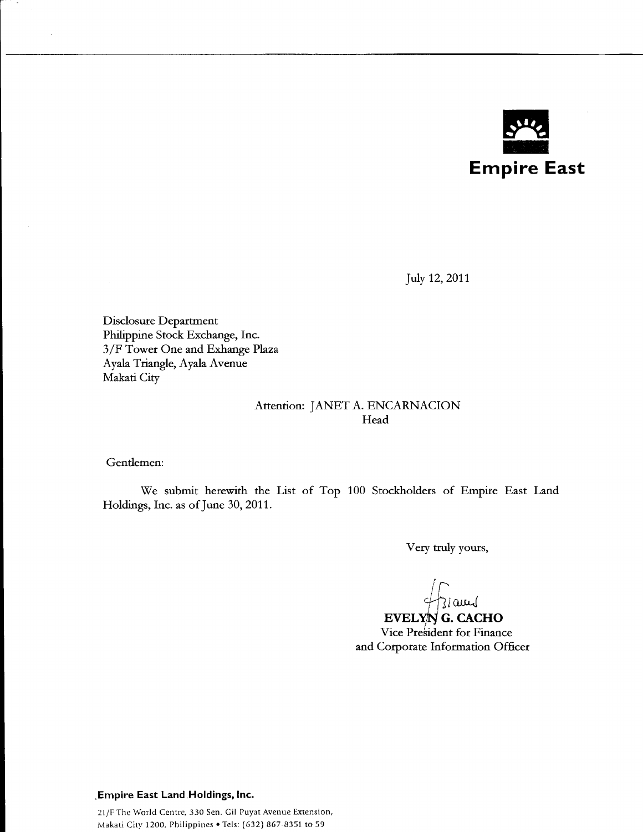

July 12, 2011

Disclosure Department Philippine Stock Exchange, Inc. 3 /F Tower One and Exhange Plaza Ayala Triangle, Ayala Avenue Makati City

### Attention: JANET A. ENCARNACION Head

Gentlemen:

We submit herewith the List of Top 100 Stockholders of Empire East Land Holdings, Inc. as of June 30, 2011.

Very truly yours,

*+h[CW-t-J* 

**EVELYN G. CACHO**  Vice President for Finance and Corporate Information Officer

#### **.Empire East Land Holdings, Inc.**

21/F The World Centre, 330 Sen. Gil Puyat Avenue Extension, Makati City 1200, Philippines • Tels: {632) 867-8351 to 59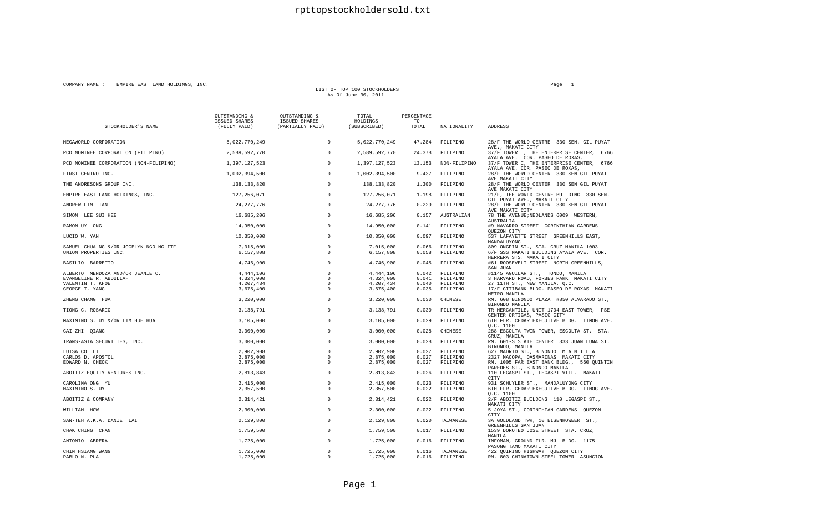#### COMPANY NAME : EMPIRE EAST LAND HOLDINGS, INC. Page 1

### LIST OF TOP 100 STOCKHOLDERS<br>As Of June 30, 2011

| STOCKHOLDER'S NAME                     | OUTSTANDING &<br>ISSUED SHARES<br>(FULLY PAID) | OUTSTANDING &<br><b>ISSUED SHARES</b><br>(PARTIALLY PAID) | TOTAL<br>HOLDINGS<br>(SUBSCRIBED) | PERCENTAGE<br>TO<br>TOTAL | NATIONALITY           | ADDRESS                                                                                                         |
|----------------------------------------|------------------------------------------------|-----------------------------------------------------------|-----------------------------------|---------------------------|-----------------------|-----------------------------------------------------------------------------------------------------------------|
| MEGAWORLD CORPORATION                  | 5,022,770,249                                  | $\circ$                                                   | 5,022,770,249                     | 47.284                    | FILIPINO              | 28/F THE WORLD CENTRE 330 SEN. GIL PUYAT                                                                        |
| PCD NOMINEE CORPORATION (FILIPINO)     | 2,589,592,770                                  | $\mathbf 0$                                               | 2,589,592,770                     | 24.378                    | FILIPINO              | AVE., MAKATI CITY<br>37/F TOWER I, THE ENTERPRISE CENTER, 6766                                                  |
| PCD NOMINEE CORPORATION (NON-FILIPINO) | 1,397,127,523                                  | $^{\circ}$                                                | 1,397,127,523                     | 13.153                    | NON-FILIPINO          | AYALA AVE. COR. PASEO DE ROXAS,<br>37/F TOWER I, THE ENTERPRISE CENTER, 6766<br>AYALA AVE. COR. PASEO DE ROXAS, |
| FIRST CENTRO INC.                      | 1,002,394,500                                  | $\Omega$                                                  | 1,002,394,500                     | 9.437                     | FILIPINO              | 28/F THE WORLD CENTER 330 SEN GIL PUYAT<br>AVE MAKATI CITY                                                      |
| THE ANDRESONS GROUP INC.               | 138, 133, 820                                  | $\Omega$                                                  | 138, 133, 820                     | 1.300                     | FILIPINO              | 28/F THE WORLD CENTER 330 SEN GIL PUYAT<br>AVE MAKATI CITY                                                      |
| EMPIRE EAST LAND HOLDINGS, INC.        | 127, 256, 071                                  | $^{\circ}$                                                | 127, 256, 071                     | 1.198                     | FILIPINO              | 21/F, THE WORLD CENTRE BUILDING 330 SEN.<br>GIL PUYAT AVE., MAKATI CITY                                         |
| ANDREW LIM TAN                         | 24, 277, 776                                   | $^{\circ}$                                                | 24, 277, 776                      | 0.229                     | FILIPINO              | 28/F THE WORLD CENTER 330 SEN GIL PUYAT<br>AVE MAKATI CITY                                                      |
| SIMON LEE SUI HEE                      | 16,685,206                                     | $^{\circ}$                                                | 16,685,206                        | 0.157                     | AUSTRALIAN            | 78 THE AVENUE; NEDLANDS 6009 WESTERN,<br>AUSTRALIA                                                              |
| RAMON UY ONG                           | 14,950,000                                     | $\mathbf 0$                                               | 14,950,000                        | 0.141                     | FILIPINO              | #9 NAVARRO STREET CORINTHIAN GARDENS<br>QUEZON CITY                                                             |
| LUCIO W. YAN                           | 10,350,000                                     | $\mathbf 0$                                               | 10,350,000                        | 0.097                     | FILIPINO              | 537 LAFAYETTE STREET GREENHILLS EAST,<br>MANDALUYONG                                                            |
| SAMUEL CHUA NG &/OR JOCELYN NGO NG ITF | 7,015,000                                      | $\Omega$                                                  | 7,015,000                         | 0.066                     | FILIPINO              | 809 ONGPIN ST., STA. CRUZ MANILA 1003                                                                           |
| UNION PROPERTIES INC.                  | 6,157,808                                      | $^{\circ}$                                                | 6,157,808                         | 0.058                     | FILIPINO              | 6/F SSS MAKATI BUILDING AYALA AVE. COR.                                                                         |
| BASILIO BARRETTO                       | 4,746,900                                      | $^{\circ}$                                                | 4,746,900                         | 0.045                     | FILIPINO              | HERRERA STS. MAKATI CITY<br>#61 ROOSEVELT STREET NORTH GREENHILLS,<br>SAN JUAN                                  |
| ALBERTO MENDOZA AND/OR JEANIE C.       | 4,444,106                                      | $^{\circ}$                                                | 4,444,106                         | 0.042                     | FILIPINO              | #1145 AGUILAR ST., TONDO, MANILA                                                                                |
| EVANGELINE R. ABDULLAH                 | 4,324,000                                      | $\Omega$                                                  | 4,324,000                         | 0.041                     | FILIPINO              | 3 HARVARD ROAD, FORBES PARK MAKATI CITY                                                                         |
| VALENTIN T. KHOE                       | 4,207,434                                      | $^{\circ}$                                                | 4,207,434                         | 0.040                     | FILIPINO              | 27 11TH ST., NEW MANILA, Q.C.                                                                                   |
| GEORGE T. YANG                         | 3,675,400                                      | $\Omega$                                                  | 3,675,400                         | 0.035                     | FILIPINO              | 17/F CITIBANK BLDG. PASEO DE ROXAS MAKATI<br>METRO MANILA                                                       |
| ZHENG CHANG HUA                        | 3,220,000                                      | $\mathbf 0$                                               | 3,220,000                         | 0.030                     | CHINESE               | RM. 608 BINONDO PLAZA #850 ALVARADO ST.,<br>BINONDO MANILA                                                      |
| TIONG C. ROSARIO                       | 3,138,791                                      | $\mathbf 0$                                               | 3,138,791                         | 0.030                     | FILIPINO              | TR MERCANTILE, UNIT 1704 EAST TOWER, PSE<br>CENTER ORTIGAS, PASIG CITY                                          |
| MAXIMINO S. UY &/OR LIM HUE HUA        | 3,105,000                                      | $^{\circ}$                                                | 3,105,000                         | 0.029                     | FILIPINO              | 6TH FLR. CEDAR EXECUTIVE BLDG. TIMOG AVE.<br>0.C. 1100                                                          |
| CAI ZHI OIANG                          | 3,000,000                                      | $^{\circ}$                                                | 3,000,000                         | 0.028                     | CHINESE               | 288 ESCOLTA TWIN TOWER, ESCOLTA ST. STA.<br>CRUZ, MANILA                                                        |
| TRANS-ASIA SECURITIES, INC.            | 3,000,000                                      | $\Omega$                                                  | 3,000,000                         | 0.028                     | FILIPINO              | RM. 601-S STATE CENTER 333 JUAN LUNA ST.<br>BINONDO, MANILA                                                     |
| LUISA CO LI                            | 2,902,908                                      | $\Omega$                                                  | 2,902,908                         | 0.027                     | FILIPINO              | 627 MADRID ST., BINONDO MANILA                                                                                  |
| CARLOS D. APOSTOL                      | 2,875,000                                      | $^{\circ}$                                                | 2,875,000                         | 0.027                     | FILIPINO              | 2327 MACOPA, DASMARINAS MAKATI CITY                                                                             |
| EDWARD N. CHEOK                        | 2,875,000                                      | $\Omega$                                                  | 2,875,000                         | 0.027                     | FILIPINO              | RM. 1005 FAR EAST BANK BLDG., 560 QUINTIN<br>PAREDES ST., BINONDO MANILA                                        |
| ABOITIZ EQUITY VENTURES INC.           | 2,813,843                                      | $^{\circ}$                                                | 2,813,843                         | 0.026                     | FILIPINO              | 110 LEGASPI ST., LEGASPI VILL. MAKATI<br>CITY                                                                   |
| CAROLINA ONG YU                        | 2,415,000                                      | $\mathbf 0$                                               | 2,415,000                         | 0.023                     | FILIPINO              | 931 SCHUYLER ST., MANDALUYONG CITY                                                                              |
| MAXIMINO S. UY                         | 2,357,500                                      | $^{\circ}$                                                | 2,357,500                         | 0.022                     | FILIPINO              | 6TH FLR. CEDAR EXECUTIVE BLDG. TIMOG AVE.<br>0.C. 1100                                                          |
| ABOITIZ & COMPANY                      | 2,314,421                                      | $^{\circ}$                                                | 2,314,421                         | 0.022                     | FILIPINO              | 2/F ABOITIZ BUILDING 110 LEGASPI ST.,<br>MAKATI CITY                                                            |
| WILLIAM HOW                            | 2,300,000                                      | $^{\circ}$                                                | 2,300,000                         | 0.022                     | FILIPINO              | 5 JOYA ST., CORINTHIAN GARDENS QUEZON<br>CITY                                                                   |
| SAN-TEH A.K.A. DANIE LAI               | 2,129,800                                      | $^{\circ}$                                                | 2,129,800                         | 0.020                     | TAIWANESE             | 3A GOLDLAND TWR, 10 EISENHOWEER ST.,<br>GREENHILLS SAN JUAN                                                     |
| CHAK CHING CHAN                        | 1,759,500                                      | $^{\circ}$                                                | 1,759,500                         | 0.017                     | FILIPINO              | 1539 DOROTEO JOSE STREET STA. CRUZ,<br>MANILA                                                                   |
| ANTONIO ABRERA                         | 1,725,000                                      | $^{\circ}$                                                | 1,725,000                         | 0.016                     | FILIPINO              | INFOMAN, GROUND FLR. MJL BLDG. 1175<br>PASONG TAMO MAKATI CITY                                                  |
| CHIN HSIANG WANG<br>PABLO N. PUA       | 1,725,000<br>1,725,000                         | $^{\circ}$<br>$\Omega$                                    | 1,725,000<br>1,725,000            | 0.016<br>0.016            | TAIWANESE<br>FILIPINO | 422 QUIRINO HIGHWAY QUEZON CITY<br>RM. 803 CHINATOWN STEEL TOWER ASUNCION                                       |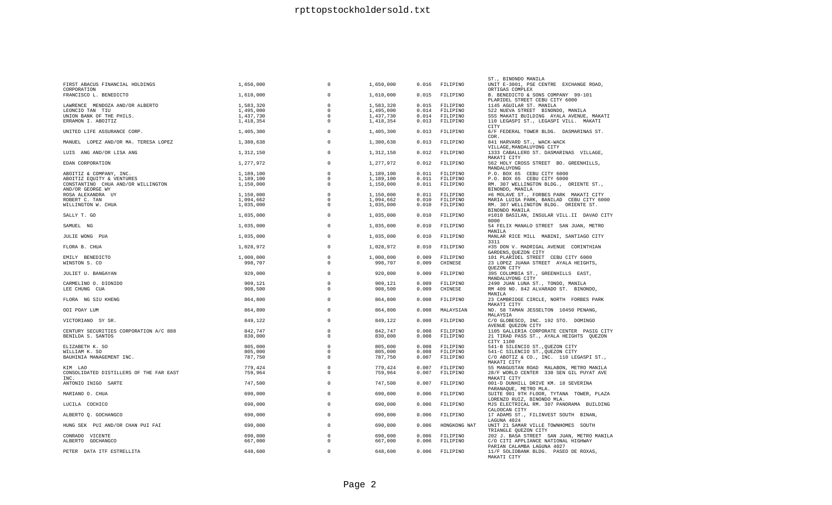| FIRST ABACUS FINANCIAL HOLDINGS<br>CORPORATION         | 1,650,000 | 0           | 1,650,000 | 0.016 | FILIPINO     | ST., BINONDO MANILA<br>UNIT E-3001, PSE CENTRE EXCHANGE ROAD,<br>ORTIGAS COMPLEX  |
|--------------------------------------------------------|-----------|-------------|-----------|-------|--------------|-----------------------------------------------------------------------------------|
| FRANCISCO L. BENEDICTO                                 | 1,610,000 | 0           | 1,610,000 | 0.015 | FILIPINO     | B. BENEDICTO & SONS COMPANY 99-101<br>PLARIDEL STREET CEBU CITY 6000              |
| LAWRENCE MENDOZA AND/OR ALBERTO                        | 1,583,320 | $\mathbf 0$ | 1,583,320 | 0.015 | FILIPINO     | 1145 AGUILAR ST. MANILA                                                           |
| LEONCIO TAN TIU                                        | 1,495,000 | $\mathbf 0$ | 1,495,000 | 0.014 | FILIPINO     | 522 NUEVA STREET BINONDO, MANILA                                                  |
|                                                        |           |             |           |       |              |                                                                                   |
| UNION BANK OF THE PHILS.                               | 1,437,730 | $^{\circ}$  | 1,437,730 | 0.014 | FILIPINO     | SSS MAKATI BUILDING AYALA AVENUE, MAKATI                                          |
| ERRAMON I. ABOITIZ                                     | 1,418,354 | $^{\circ}$  | 1,418,354 | 0.013 | FILIPINO     | 110 LEGASPI ST., LEGASPI VILL. MAKATI<br>CITY                                     |
| UNITED LIFE ASSURANCE CORP.                            | 1,405,300 | $\mathbf 0$ | 1,405,300 | 0.013 | FILIPINO     | 6/F FEDERAL TOWER BLDG. DASMARINAS ST.<br>COR.                                    |
| MANUEL LOPEZ AND/OR MA. TERESA LOPEZ                   | 1,380,638 | $\circ$     | 1,380,638 | 0.013 | FILIPINO     | 841 HARVARD ST., WACK-WACK<br>VILLAGE, MANDALUYONG CITY                           |
| LUIS ANG AND/OR LISA ANG                               | 1,312,150 | $^{\circ}$  | 1,312,150 | 0.012 | FILIPINO     | 1333 CABALLERO ST. DASMARINAS VILLAGE,<br>MAKATI CITY                             |
| EDAN CORPORATION                                       | 1,277,972 | $\mathbf 0$ | 1,277,972 | 0.012 | FILIPINO     | 562 HOLY CROSS STREET BO. GREENHILLS,<br>MANDALUYONG                              |
| ABOITIZ & COMPANY, INC.                                | 1,189,100 | $\mathbf 0$ | 1,189,100 | 0.011 | FILIPINO     | P.O. BOX 65 CEBU CITY 6000                                                        |
| ABOITIZ EQUITY & VENTURES                              | 1,189,100 | $\Omega$    | 1,189,100 | 0.011 | FILIPINO     | P.O. BOX 65 CEBU CITY 6000                                                        |
| CONSTANTINO CHUA AND/OR WILLINGTON<br>AND/OR GEORGE WY | 1,150,000 | $\Omega$    | 1,150,000 | 0.011 | FILIPINO     | RM. 307 WELLINGTON BLDG., ORIENTE ST.,<br>BINONDO, MANILA                         |
|                                                        |           | $\Omega$    |           | 0.011 |              |                                                                                   |
| ROSA ALEXANDRA UY                                      | 1,150,000 |             | 1,150,000 |       | FILIPINO     | #6 MOLAVE ST., FORBES PARK MAKATI CITY                                            |
| ROBERT C. TAN                                          | 1,094,662 | $\Omega$    | 1,094,662 | 0.010 | FILIPINO     | MARIA LUISA PARK, BANILAD CEBU CITY 6000                                          |
| WILLINGTON W. CHUA                                     | 1,035,000 | $\Omega$    | 1,035,000 | 0.010 | FILIPINO     | RM. 307 WELLINGTON BLDG. ORIENTE ST.<br>BINONDO MANILA                            |
| SALLY T. GO                                            | 1,035,000 | $\mathbf 0$ | 1,035,000 | 0.010 | FILIPINO     | #1010 BASILAN, INSULAR VILL.II DAVAO CITY<br>8000                                 |
| SAMUEL NG                                              | 1,035,000 | $\circ$     | 1,035,000 | 0.010 | FILIPINO     | 54 FELIX MANALO STREET SAN JUAN, METRO<br>MANILA                                  |
| JULIE WONG PUA                                         | 1,035,000 | $\mathbf 0$ | 1,035,000 | 0.010 | FILIPINO     | MANLAR RICE MILL MABINI, SANTIAGO CITY<br>3311                                    |
| FLORA B. CHUA                                          | 1,028,972 | $^{\circ}$  | 1,028,972 | 0.010 | FILIPINO     | #35 DON V. MADRIGAL AVENUE CORINTHIAN<br>GARDENS, QUEZON CITY                     |
| EMILY BENEDICTO                                        | 1,000,000 | $\mathbf 0$ | 1,000,000 | 0.009 | FILIPINO     | 101 PLARIDEL STREET CEBU CITY 6000                                                |
| WINSTON S. CO                                          | 998,707   | $^{\circ}$  | 998,707   | 0.009 | CHINESE      | 23 LOPEZ JUANA STREET AYALA HEIGHTS,                                              |
|                                                        |           |             |           |       |              | QUEZON CITY                                                                       |
| JULIET U. BANGAYAN                                     | 920,000   | $\circ$     | 920,000   | 0.009 | FILIPINO     | 395 COLUMBIA ST., GREENHILLS EAST,<br>MANDALUYONG CITY                            |
| CARMELINO O. DIONIDO                                   | 909,121   | 0           | 909,121   | 0.009 | FILIPINO     | 2490 JUAN LUNA ST., TONDO, MANILA                                                 |
| LEE CHUNG CUA                                          | 908,500   | 0           | 908,500   | 0.009 | CHINESE      | RM 409 NO. 842 ALVARADO ST. BINONDO,<br>MANILA                                    |
| FLORA NG SIU KHENG                                     | 864,800   | $\Omega$    | 864,800   | 0.008 | FILIPINO     | 23 CAMBRIDGE CIRCLE, NORTH FORBES PARK<br>MAKATI CITY                             |
| OOI POAY LUM                                           | 864,800   | $\Omega$    | 864,800   | 0.008 | MALAYSIAN    | NO. 58 TAMAN JESSELTON 10450 PENANG,<br>MALAYSIA                                  |
| VICTORIANO SY SR.                                      | 849,122   | $\Omega$    | 849,122   | 0.008 | FILIPINO     | C/O GLOBESCO, INC. 192 STO. DOMINGO<br>AVENUE OUEZON CITY                         |
| CENTURY SECURITIES CORPORATION A/C 888                 | 842.747   | $^{\circ}$  | 842.747   | 0.008 | FILIPINO     | 1105 GALLERIA CORPORATE CENTER PASIG CITY                                         |
| BENILDA S. SANTOS                                      | 830,000   | $\mathbf 0$ | 830,000   | 0.008 | FILIPINO     | 21 TIRAD PASS ST., AYALA HEIGHTS QUEZON<br>CITY 1100                              |
|                                                        |           | $\Omega$    |           |       |              |                                                                                   |
| ELIZABETH K. SO                                        | 805,000   |             | 805,000   | 0.008 | FILIPINO     | 541-B SILENCIO ST., QUEZON CITY                                                   |
| WILLIAM K. SO                                          | 805,000   | $\mathbf 0$ | 805,000   | 0.008 | FILIPINO     | 541-C SILENCIO ST., QUEZON CITY                                                   |
| BAUHINIA MANAGEMENT INC.                               | 787,750   | $\Omega$    | 787,750   | 0.007 | FILIPINO     | C/O ABOTIZ & CO., INC. 110 LEGASPI ST.,<br>MAKATI CITY                            |
| KIM LAO                                                | 779,424   | $\mathbf 0$ | 779,424   | 0.007 | FILIPINO     | 55 MANGUSTAN ROAD MALABON, METRO MANILA                                           |
| CONSOLIDATED DISTILLERS OF THE FAR EAST<br>TNC.        | 759,964   | 0           | 759,964   | 0.007 | FILIPINO     | 28/F WORLD CENTER 330 SEN GIL PUYAT AVE<br>MAKATI CITY                            |
| ANTONIO INIGO SARTE                                    | 747,500   | $\mathbf 0$ | 747,500   | 0.007 | FILIPINO     | 001-D DUNHILL DRIVE KM. 18 SEVERINA<br>PARANAQUE, METRO MLA.                      |
| MARIANO O. CHUA                                        | 690,000   | $^{\circ}$  | 690,000   | 0.006 | FILIPINO     | SUITE 901 9TH FLOOR, TYTANA TOWER, PLAZA<br>LORENZO RUIZ, BINONDO MLA.            |
| LUCILA COCHICO                                         | 690,000   | $\mathbf 0$ | 690,000   | 0.006 | FILIPINO     | MJS ELECTRICAL RM. 307 PANORAMA BUILDING<br>CALOOCAN CITY                         |
| ALBERTO Q. GOCHANGCO                                   | 690,000   | $^{\circ}$  | 690,000   | 0.006 | FILIPINO     | 17 ADAMS ST., FILINVEST SOUTH BINAN,<br>LAGUNA 4024                               |
| HUNG SEK PUI AND/OR CHAN PUI FAI                       | 690,000   | $\mathbf 0$ | 690,000   | 0.006 | HONGKONG NAT | UNIT 21 SAMAR VILLE TOWNHOMES SOUTH<br>TRIANGLE QUEZON CITY                       |
| CONRADO VICENTE                                        | 690,000   | 0           | 690,000   | 0.006 | FILIPINO     | 202 J. BASA STREET SAN JUAN, METRO MANILA                                         |
| ALBERTO GOCHANGCO                                      | 667,000   | $^{\circ}$  | 667,000   | 0.006 | FILIPINO     | C/O CITI APPLIANCE NATIONAL HIGHWAY                                               |
| PETER DATA ITF ESTRELLITA                              | 648,600   | $\circ$     | 648,600   | 0.006 | FILIPINO     | PARIAN CALAMBA LAGUNA 4027<br>11/F SOLIDBANK BLDG. PASEO DE ROXAS,<br>MAKATI CITY |
|                                                        |           |             |           |       |              |                                                                                   |

Page 2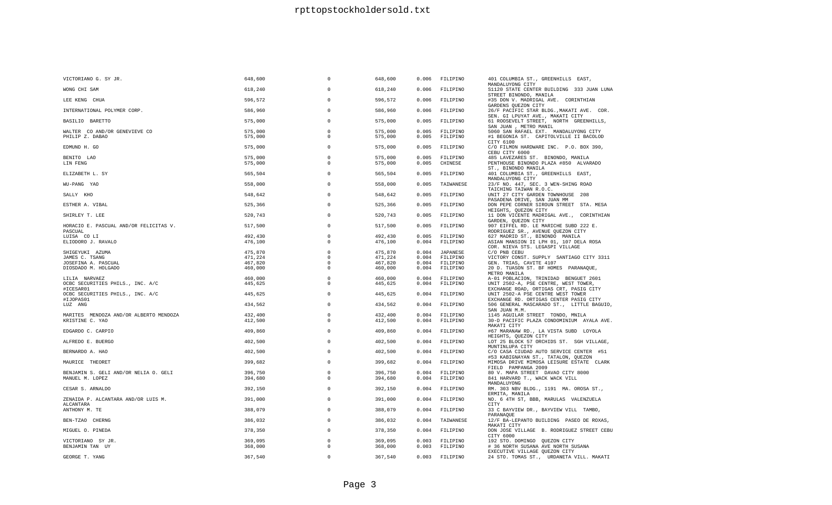| VICTORIANO G. SY JR.                              | 648,600 | $\Omega$                   | 648,600 | 0.006 | FILIPINO       | 401 COLUMBIA ST., GREENHILLS EAST,<br>MANDALUYONG CITY                         |
|---------------------------------------------------|---------|----------------------------|---------|-------|----------------|--------------------------------------------------------------------------------|
| WONG CHI SAM                                      | 618,240 | $\Omega$                   | 618,240 | 0.006 | FILIPINO       | S1120 STATE CENTER BUILDING 333 JUAN LUNA                                      |
| LEE KENG CHUA                                     | 596,572 | $\Omega$                   | 596,572 | 0.006 | FILIPINO       | STREET BINONDO, MANILA<br>#35 DON V. MADRIGAL AVE. CORINTHIAN                  |
| INTERNATIONAL POLYMER CORP.                       | 586,960 | $\circ$                    | 586,960 | 0.006 | FILIPINO       | GARDENS QUEZON CITY<br>26/F PACIFIC STAR BLDG., MAKATI AVE. COR.               |
| BASILIO BARETTO                                   | 575,000 | $\Omega$                   | 575,000 | 0.005 | FILIPINO       | SEN. GI LPUYAT AVE., MAKATI CITY<br>61 ROOSEVELT STREET, NORTH GREENHILLS,     |
|                                                   |         |                            |         |       |                | SAN JUAN , METRO MANIL                                                         |
| WALTER CO AND/OR GENEVIEVE CO                     | 575,000 | $\overline{0}$<br>$\Omega$ | 575,000 | 0.005 | FILIPINO       | 5060 SAN RAFAEL EXT. MANDALUYONG CITY                                          |
| PHILIP Z. DABAO                                   | 575,000 |                            | 575,000 | 0.005 | FILIPINO       | #1 BEGONIA ST. CAPITOLVILLE II BACOLOD                                         |
| EDMUND H. GO                                      | 575,000 | $\circ$                    | 575,000 | 0.005 | FILIPINO       | CITY 6100<br>C/O FILMON HARDWARE INC. P.O. BOX 390,<br>CEBU CITY 6000          |
| BENITO LAO                                        | 575,000 | $\circ$                    | 575,000 | 0.005 | FILIPINO       | 485 LAVEZARES ST. BINONDO, MANILA                                              |
| LIN FENG                                          | 575,000 | $^{\circ}$                 | 575,000 | 0.005 | CHINESE        | PENTHOUSE BINONDO PLAZA #850 ALVARADO<br>ST., BINONDO MANILA                   |
| ELIZABETH L. SY                                   | 565,504 | $\Omega$                   | 565,504 | 0.005 | FILIPINO       | 401 COLUMBIA ST., GREENHILLS EAST,<br>MANDALUYONG CITY                         |
| WU-PANG YAO                                       | 558,000 | $\Omega$                   | 558,000 | 0.005 | TAIWANESE      | 23/F NO. 447, SEC. 3 WEN-SHING ROAD<br>TAICHING TAIWAN R.O.C.                  |
| SALLY KHO                                         | 548,642 | $\Omega$                   | 548,642 | 0.005 | FILIPINO       | UNIT 27 CITY GARDEN TOWNHOUSE 208<br>PASADENA DRIVE, SAN JUAN MM               |
| ESTHER A. VIBAL                                   | 525,366 | $\mathbf 0$                | 525,366 | 0.005 | FILIPINO       | DON PEPE CORNER SIROUN STREET STA. MESA<br>HEIGHTS, QUEZON CITY                |
| SHIRLEY T. LEE                                    | 520,743 | $\Omega$                   | 520,743 | 0.005 | FILIPINO       | 11 DON VICENTE MADRIGAL AVE., CORINTHIAN<br>GARDEN, QUEZON CITY                |
| HORACIO E. PASCUAL AND/OR FELICITAS V.<br>PASCUAL | 517,500 | $\Omega$                   | 517,500 | 0.005 | FILIPINO       | 907 EIFFEL RD. LE MARICHE SUBD 222 E.<br>RODRIGUEZ SR., AVENUE QUEZON CITY     |
| LUISA CO LI                                       | 492,430 | $\circ$                    | 492,430 | 0.005 | FILIPINO       | 627 MADRID ST., BINONDO MANILA                                                 |
| ELIODORO J. RAVALO                                | 476,100 | $\Omega$                   | 476,100 | 0.004 | FILIPINO       | ASIAN MANSION II LPH 01, 107 DELA ROSA                                         |
|                                                   |         |                            |         |       |                | COR. NIEVA STS. LEGASPI VILLAGE                                                |
| SHIGEYUKI AZUMA                                   | 475,870 | $\circ$                    | 475,870 | 0.004 | JAPANESE       | C/O PNB CEBU                                                                   |
| JAMES C. TSANG                                    | 471,224 | $^{\circ}$                 | 471,224 | 0.004 | FILIPINO       | VICTORY CONST. SUPPLY SANTIAGO CITY 3311                                       |
| JOSEFINA A. PASCUAL                               | 467,820 | $\mathbf 0$                | 467,820 | 0.004 | FILIPINO       | GEN. TRIAS, CAVITE 4107                                                        |
| DIOSDADO M. HOLGADO                               | 460,000 | $\Omega$                   | 460,000 | 0.004 | FILIPINO       | 20 D. TUASON ST. BF HOMES PARANAQUE,                                           |
|                                                   |         |                            |         |       |                | METRO MANILA                                                                   |
| LILIA NARVAEZ                                     | 460,000 | $\Omega$                   | 460,000 | 0.004 | FILIPINO       | A-01 POBLACION, TRINIDAD BENGUET 2601                                          |
| OCBC SECURITIES PHILS., INC. A/C<br>#ICESAR01     | 445,625 | $^{\circ}$                 | 445,625 | 0.004 | FILIPINO       | UNIT 2502-A, PSE CENTRE, WEST TOWER,                                           |
| OCBC SECURITIES PHILS., INC. A/C                  | 445,625 | $\Omega$                   | 445,625 | 0.004 | FILIPINO       | EXCHANGE ROAD, ORTIGAS CRT, PASIG CITY<br>UNIT 2502-A PSE CENTRE WEST TOWER    |
| #IJOPAS01                                         |         |                            |         |       |                | EXCHANGE RD. ORTIGAS CENTER PASIG CITY                                         |
| LUZ ANG                                           | 434,562 | $\Omega$                   | 434,562 | 0.004 | FILIPINO       | 506 GENERAL MASCARADO ST., LITTLE BAGUIO,<br>SAN JUAN M.M.                     |
| MARITES MENDOZA AND/OR ALBERTO MENDOZA            | 432,400 | $\Omega$                   | 432,400 | 0.004 | FILIPINO       | 1145 AGUILAR STREET TONDO, MNILA                                               |
| KRISTINE C. YAO                                   | 412,500 | $^{\circ}$                 | 412,500 | 0.004 | FILIPINO       | 30-D PACIFIC PLAZA CONDOMINIUM AYALA AVE.<br>MAKATI CITY                       |
| EDGARDO C. CARPIO                                 | 409,860 | $\Omega$                   | 409,860 | 0.004 | FILIPINO       | #67 MARANAW RD., LA VISTA SUBD LOYOLA<br>HEIGHTS, QUEZON CITY                  |
| ALFREDO E. BUERGO                                 | 402,500 | $\Omega$                   | 402,500 | 0.004 | FILIPINO       | LOT 25 BLOCK 57 ORCHIDS ST. SGH VILLAGE,<br>MUNTINLUPA CITY                    |
| BERNARDO A. HAO                                   | 402,500 | $\Omega$                   | 402,500 | 0.004 | FILIPINO       | C/O CASA CIUDAD AUTO SERVICE CENTER #51<br>#53 KABIGNAYAN ST., TATALON, QUEZON |
| MAURICE THEORET                                   | 399,682 | $\Omega$                   | 399,682 | 0.004 | FILIPINO       | MIMOSA DRIVE MIMOSA LEISURE ESTATE CLARK<br>FIELD PAMPANGA 2009                |
| BENJAMIN S. GELI AND/OR NELIA O. GELI             | 396,750 | $\circ$                    | 396,750 | 0.004 | FILIPINO       | 80 V. MAPA STREET DAVAO CITY 8000                                              |
| MANUEL M. LOPEZ                                   | 394,680 | $\overline{0}$             | 394,680 | 0.004 | FILIPINO       | 841 HARVARD T., WACK WACK VILL                                                 |
|                                                   |         |                            |         |       |                | MANDALUYONG                                                                    |
| CESAR S. ARNALDO                                  | 392,150 | $\Omega$                   | 392,150 | 0.004 | FILIPINO       | RM. 303 NBV BLDG., 1191 MA. OROSA ST.,<br>ERMITA, MANILA                       |
| ZENAIDA P. ALCANTARA AND/OR LUIS M.<br>ALCANTARA  | 391,000 | $\Omega$                   | 391,000 | 0.004 | FILIPINO       | NO. 6 4TH ST, BBB, MARULAS VALENZUELA<br>CITY                                  |
| ANTHONY M. TE                                     | 388,079 | $\Omega$                   | 388,079 | 0.004 | FILIPINO       | 33 C BAYVIEW DR., BAYVIEW VILL TAMBO,<br>PARANAQUE                             |
| BEN-TZAO CHERNG                                   | 386,032 | $\mathbf 0$                | 386,032 | 0.004 | TAIWANESE      | 12/F BA-LEPANTO BUILDING PASEO DE ROXAS,<br>MAKATI CITY                        |
| MIGUEL O. PINEDA                                  | 378,350 | $\Omega$                   | 378,350 | 0.004 | FILIPINO       | DON JOSE VILLAGE B. RODRIGUEZ STREET CEBU<br>CITY 6000                         |
| VICTORIANO SY JR.                                 | 369,095 | $\Omega$                   | 369,095 | 0.003 | FILIPINO       | 192 STO. DOMINGO QUEZON CITY                                                   |
| BENJAMIN TAN UY                                   | 368,000 | $\Omega$                   | 368,000 | 0.003 | FILIPINO       | # 36 NORTH SUSANA AVE NORTH SUSANA<br>EXECUTIVE VILLAGE QUEZON CITY            |
| GEORGE T. YANG                                    | 367,540 | $\Omega$                   | 367,540 |       | 0.003 FILIPINO | 24 STO. TOMAS ST., URDANETA VILL. MAKATI                                       |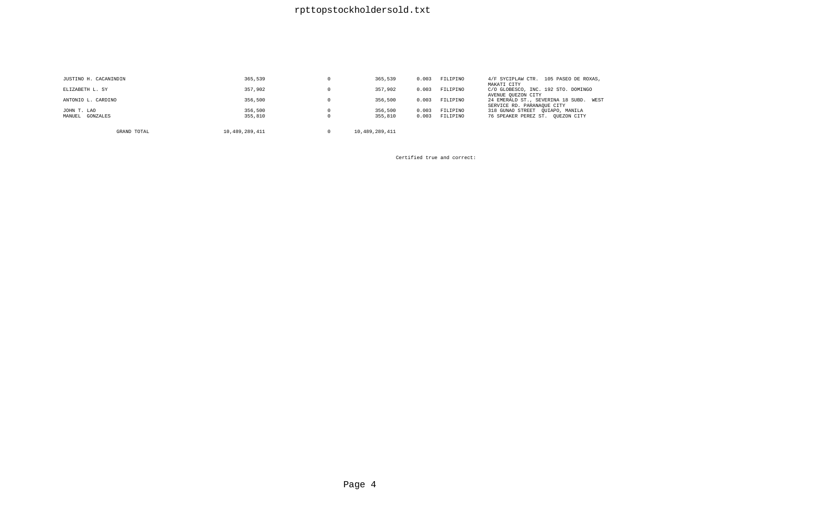## rpttopstockholdersold.txt

| JUSTINO H. CACANINDIN | 365,539        | 365,539        | 0.003 | FILIPINO | 4/F SYCIPLAW CTR. 105 PASEO DE ROXAS,<br>MAKATI CITY                    |
|-----------------------|----------------|----------------|-------|----------|-------------------------------------------------------------------------|
| ELIZABETH L. SY       | 357,902        | 357,902        | 0.003 | FILIPINO | C/O GLOBESCO, INC. 192 STO. DOMINGO<br>AVENUE OUEZON CITY               |
| ANTONIO L. CARDINO    | 356,500        | 356,500        | 0.003 | FILIPINO | 24 EMERALD ST., SEVERINA 18 SUBD.<br>WEST<br>SERVICE RD. PARANAQUE CITY |
| JOHN T. LAO           | 356,500        | 356,500        | 0.003 | FILIPINO | 318 GUNAO STREET QUIAPO, MANILA                                         |
| MANUEL GONZALES       | 355,810        | 355,810        | 0.003 | FILIPINO | 76 SPEAKER PEREZ ST. OUEZON CITY                                        |
| GRAND TOTAL           | 10.489.289.411 | 10,489,289,411 |       |          |                                                                         |

Certified true and correct: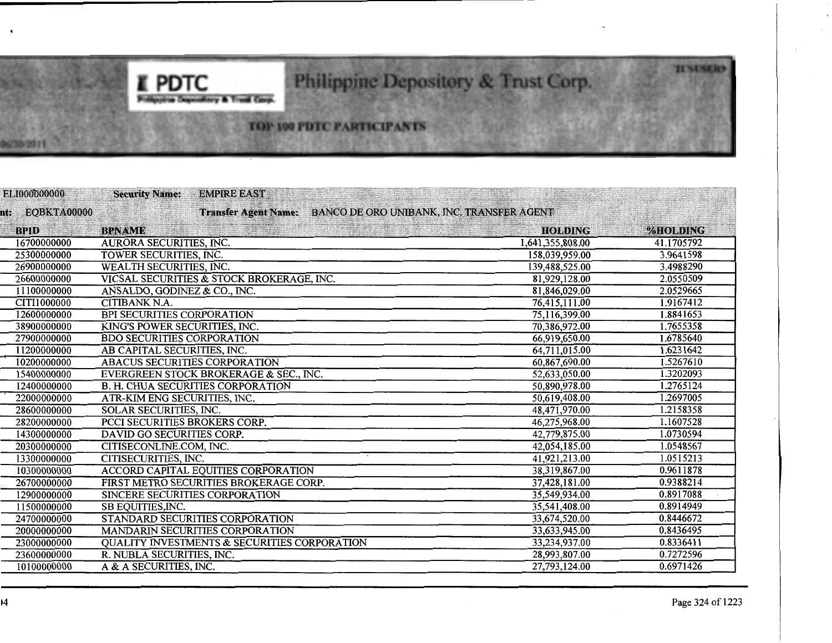# Philippine Depository & Trust Corp.

## TOP 100 PDTC PARTICIPANTS

I **PDTC** 

**Printing** 

try & Trust Corp.

| ELI000000000    | <b>Security Name:</b>                | <b>EMPIRE EAST</b>                                      |                                                                |            |
|-----------------|--------------------------------------|---------------------------------------------------------|----------------------------------------------------------------|------------|
| nt: EQBKTA00000 |                                      |                                                         | Transfer Agent Name: BANCO DE ORO UNIBANK, INC. TRANSFER AGENT |            |
| <b>BPID</b>     | <b>BPNAME</b>                        |                                                         | <b>HOLDING</b>                                                 | %HOLDING   |
| 16700000000     | AURORA SECURITIES, INC.              |                                                         | 1,641,355,808.00                                               | 41.1705792 |
| 25300000000     | <b>TOWER SECURITIES, INC.</b>        |                                                         | 158,039,959.00                                                 | 3.9641598  |
| 26900000000     | <b>WEALTH SECURITIES, INC.</b>       |                                                         | 139,488,525.00                                                 | 3.4988290  |
| 26600000000     |                                      | VICSAL SECURITIES & STOCK BROKERAGE, INC.               | 81,929,128.00                                                  | 2.0550509  |
| 11100000000     | ANSALDO, GODINEZ & CO., INC.         |                                                         | 81,846,029.00                                                  | 2.0529665  |
| CITI1000000     | <b>CITIBANK N.A.</b>                 |                                                         | 76,415,111.00                                                  | 1.9167412  |
| 12600000000     | <b>BPI SECURITIES CORPORATION</b>    |                                                         | 75,116,399.00                                                  | 1.8841653  |
| 38900000000     | KING'S POWER SECURITIES, INC.        |                                                         | 70,386,972.00                                                  | 1.7655358  |
| 27900000000     | <b>BDO SECURITIES CORPORATION</b>    |                                                         | 66,919,650.00                                                  | 1.6785640  |
| 11200000000     | AB CAPITAL SECURITIES, INC.          |                                                         | 64,711,015.00                                                  | 1.6231642  |
| 10200000000     | <b>ABACUS SECURITIES CORPORATION</b> |                                                         | 60,867,690.00                                                  | 1.5267610  |
| 15400000000     |                                      | EVERGREEN STOCK BROKERAGE & SEC., INC.                  | 52,633,050.00                                                  | 1.3202093  |
| 12400000000     |                                      | <b>B. H. CHUA SECURITIES CORPORATION</b>                | 50,890,978.00                                                  | 1.2765124  |
| 22000000000     | ATR-KIM ENG SECURITIES, INC.         |                                                         | 50,619,408.00                                                  | 1.2697005  |
| 28600000000     | <b>SOLAR SECURITIES, INC.</b>        |                                                         | 48,471,970.00                                                  | 1.2158358  |
| 28200000000     | PCCI SECURITIES BROKERS CORP.        |                                                         | 46,275,968.00                                                  | 1.1607528  |
| 14300000000     | DAVID GO SECURITIES CORP.            |                                                         | 42,779,875.00                                                  | 1.0730594  |
| 20300000000     | CITISECONLINE.COM, INC.              |                                                         | 42,054,185.00                                                  | 1.0548567  |
| 13300000000     | CITISECURITIES, INC.                 |                                                         | 41,921,213.00                                                  | 1.0515213  |
| 10300000000     |                                      | <b>ACCORD CAPITAL EQUITIES CORPORATION</b>              | 38,319,867.00                                                  | 0.9611878  |
| 26700000000     |                                      | FIRST METRO SECURITIES BROKERAGE CORP.                  | 37,428,181.00                                                  | 0.9388214  |
| 12900000000     | SINCERE SECURITIES CORPORATION       |                                                         | 35,549,934.00                                                  | 0.8917088  |
| 11500000000     | SB EQUITIES, INC.                    |                                                         | 35,541,408.00                                                  | 0.8914949  |
| 24700000000     |                                      | STANDARD SECURITIES CORPORATION                         | 33,674,520.00                                                  | 0.8446672  |
| 20000000000     |                                      | <b>MANDARIN SECURITIES CORPORATION</b>                  | 33,633,945.00                                                  | 0.8436495  |
| 23000000000     |                                      | <b>QUALITY INVESTMENTS &amp; SECURITIES CORPORATION</b> | 33,234,937.00                                                  | 0.8336411  |
| 23600000000     | R. NUBLA SECURITIES, INC.            |                                                         | 28,993,807.00                                                  | 0.7272596  |
| 10100000000     | A & A SECURITIES, INC.               |                                                         | 27,793,124.00                                                  | 0.6971426  |

**TUNUSERS** 

06/30/2019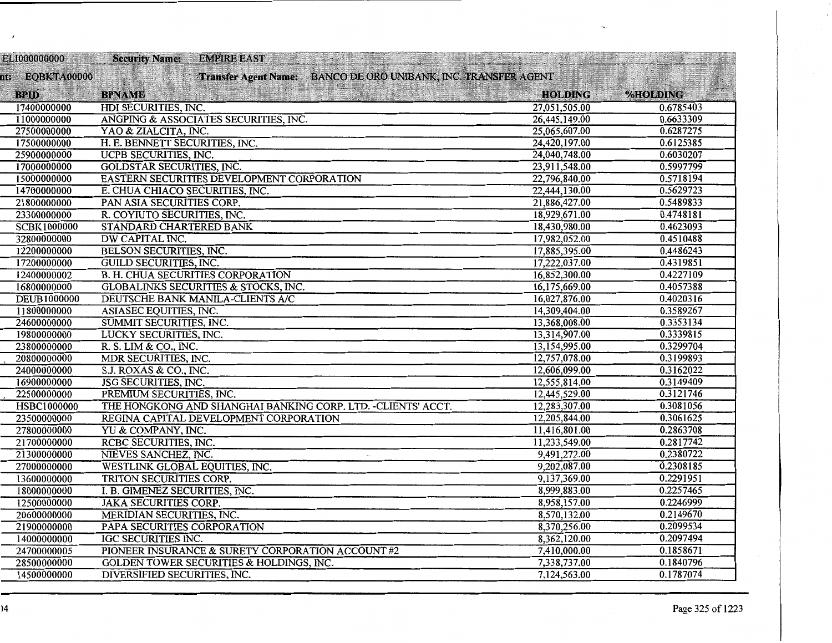| ELI000000000       | <b>Security Name:</b><br><b>EMPIRE EAST</b>                    |                |           |
|--------------------|----------------------------------------------------------------|----------------|-----------|
| nt: EOBKTA00000    | Transfer Agent Name: BANCO DE ORO UNIBANK, INC. TRANSFER AGENT |                |           |
| <b>BPID</b>        | <b>BPNAME</b>                                                  | <b>HOLDING</b> | %HOLDING  |
| 17400000000        | HDI SECURITIES, INC.                                           | 27,051,505.00  | 0.6785403 |
| 11000000000        | ANGPING & ASSOCIATES SECURITIES, INC.                          | 26,445,149.00  | 0.6633309 |
| 27500000000        | YAO & ZIALCITA, INC.                                           | 25,065,607.00  | 0.6287275 |
| 17500000000        | H. E. BENNETT SECURITIES, INC.                                 | 24,420,197.00  | 0.6125385 |
| 25900000000        | UCPB SECURITIES, INC.                                          | 24,040,748.00  | 0.6030207 |
| 17000000000        | <b>GOLDSTAR SECURITIES, INC.</b>                               | 23,911,548.00  | 0.5997799 |
| 15000000000        | EASTERN SECURITIES DEVELOPMENT CORPORATION                     | 22,796,840.00  | 0.5718194 |
| 14700000000        | E. CHUA CHIACO SECURITIES, INC.                                | 22,444,130.00  | 0.5629723 |
| 21800000000        | PAN ASIA SECURITIES CORP.                                      | 21,886,427.00  | 0.5489833 |
| 23300000000        | R. COYIUTO SECURITIES, INC.                                    | 18,929,671.00  | 0.4748181 |
| <b>SCBK1000000</b> | STANDARD CHARTERED BANK                                        | 18,430,980.00  | 0.4623093 |
| 32800000000        | DW CAPITAL INC.                                                | 17,982,052.00  | 0.4510488 |
| 12200000000        | BELSON SECURITIES, INC.                                        | 17,885,395.00  | 0.4486243 |
| 17200000000        | <b>GUILD SECURITIES, INC.</b>                                  | 17,222,037.00  | 0.4319851 |
| 12400000002        | <b>B. H. CHUA SECURITIES CORPORATION</b>                       | 16,852,300.00  | 0.4227109 |
| 16800000000        | <b>GLOBALINKS SECURITIES &amp; STOCKS, INC.</b>                | 16,175,669.00  | 0.4057388 |
| <b>DEUB1000000</b> | DEUTSCHE BANK MANILA-CLIENTS A/C                               | 16,027,876.00  | 0.4020316 |
| 11800000000        | ASIASEC EQUITIES, INC.                                         | 14,309,404.00  | 0.3589267 |
| 24600000000        | <b>SUMMIT SECURITIES, INC.</b>                                 | 13,368,008.00  | 0.3353134 |
| 19800000000        | LUCKY SECURITIES, INC.                                         | 13,314,907.00  | 0.3339815 |
| 23800000000        | R. S. LIM & CO., INC.                                          | 13,154,995.00  | 0.3299704 |
| 20800000000        | MDR SECURITIES, INC.                                           | 12,757,078.00  | 0.3199893 |
| 24000000000        | S.J. ROXAS & CO., INC.                                         | 12,606,099.00  | 0.3162022 |
| 16900000000        | <b>JSG SECURITIES, INC.</b>                                    | 12,555,814.00  | 0.3149409 |
| 22500000000        | PREMIUM SECURITIES, INC.                                       | 12,445,529.00  | 0.3121746 |
| HSBC1000000        | THE HONGKONG AND SHANGHAI BANKING CORP. LTD. - CLIENTS' ACCT.  | 12,283,307.00  | 0.3081056 |
| 23500000000        | REGINA CAPITAL DEVELOPMENT CORPORATION                         | 12,205,844.00  | 0.3061625 |
| 27800000000        | YU & COMPANY, INC.                                             | 11,416,801.00  | 0.2863708 |
| 21700000000        | RCBC SECURITIES, INC.                                          | 11,233,549.00  | 0.2817742 |
| 21300000000        | NIEVES SANCHEZ, INC.                                           | 9,491,272.00   | 0.2380722 |
| 27000000000        | WESTLINK GLOBAL EQUITIES, INC.                                 | 9,202,087.00   | 0.2308185 |
| 13600000000        | TRITON SECURITIES CORP.                                        | 9,137,369.00   | 0.2291951 |
| 18000000000        | I. B. GIMENEZ SECURITIES, INC.                                 | 8,999,883.00   | 0.2257465 |
| 12500000000        | <b>JAKA SECURITIES CORP.</b>                                   | 8,958,157.00   | 0.2246999 |
| 20600000000        | MERIDIAN SECURITIES, INC.                                      | 8,570,132.00   | 0.2149670 |
| 21900000000        | PAPA SECURITIES CORPORATION                                    | 8,370,256.00   | 0.2099534 |
| 14000000000        | IGC SECURITIES INC.                                            | 8,362,120.00   | 0.2097494 |
| 24700000005        | PIONEER INSURANCE & SURETY CORPORATION ACCOUNT #2              | 7,410,000.00   | 0.1858671 |
| 28500000000        | <b>GOLDEN TOWER SECURITIES &amp; HOLDINGS, INC.</b>            | 7,338,737.00   | 0.1840796 |
| 14500000000        | DIVERSIFIED SECURITIES, INC.                                   | 7,124,563.00   | 0.1787074 |
|                    |                                                                |                |           |

ł.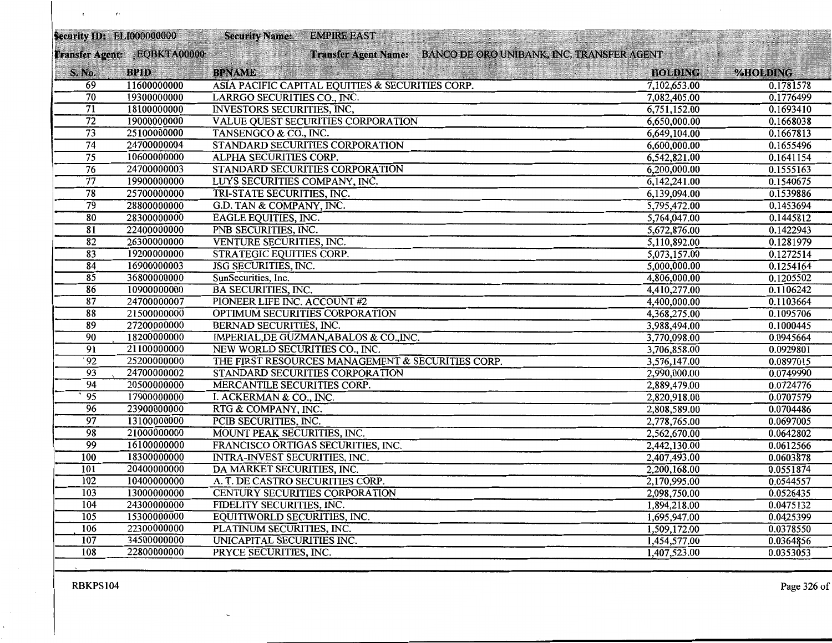| Transfer Agent: EQBKTA00000<br>Transfer Agent Name: BANCO DE ORO UNIBANK, INC. TRANSFER AGENT<br><b>BPID</b><br>S. No.<br><b>BPNAME</b><br><b>HOLDING</b><br>%HOLDING<br>69<br>11600000000<br>ASIA PACIFIC CAPITAL EQUITIES & SECURITIES CORP.<br>7,102,653.00<br>0.1781578<br>70<br>19300000000<br>LARRGO SECURITIES CO., INC.<br>7,082,405.00<br>0.1776499<br>$\overline{71}$<br>18100000000<br><b>INVESTORS SECURITIES, INC.</b><br>0.1693410<br>6,751,152.00<br>$\overline{72}$<br>19000000000<br>0.1668038<br>VALUE QUEST SECURITIES CORPORATION<br>6,650,000.00<br>$\overline{73}$<br>25100000000<br>TANSENGCO & CO., INC.<br>0.1667813<br>6,649,104.00<br>74<br>24700000004<br>STANDARD SECURITIES CORPORATION<br>6,600,000.00<br>0.1655496<br>$\overline{75}$<br>10600000000<br>ALPHA SECURITIES CORP.<br>6,542,821.00<br>0.1641154<br>$\overline{76}$<br>24700000003<br>0.1555163<br>STANDARD SECURITIES CORPORATION<br>6,200,000.00<br>$\overline{77}$<br>19900000000<br>LUYS SECURITIES COMPANY, INC.<br>6,142,241.00<br>0.1540675<br>$\overline{78}$<br>25700000000<br>TRI-STATE SECURITIES, INC.<br>0.1539886<br>6,139,094.00<br>79<br>5,795,472.00<br>28800000000<br>G.D. TAN & COMPANY, INC.<br>0.1453694<br>80<br>28300000000<br>EAGLE EQUITIES, INC.<br>0.1445812<br>5,764,047.00<br>$\overline{81}$<br>22400000000<br>PNB SECURITIES, INC.<br>0.1422943<br>5,672,876.00<br>82<br>26300000000<br>VENTURE SECURITIES, INC.<br>0.1281979<br>5,110,892.00<br>0.1272514<br>83<br>19200000000<br><b>STRATEGIC EQUITIES CORP.</b><br>5,073,157.00<br>84<br>16900000003<br><b>JSG SECURITIES, INC.</b><br>0.1254164<br>5,000,000.00<br>$\overline{85}$<br>36800000000<br>0.1205502<br>SunSecurities, Inc.<br>4,806,000.00<br>86<br>10900000000<br><b>BA SECURITIES, INC.</b><br>4,410,277.00<br>0.1106242<br>87<br>24700000007<br>PIONEER LIFE INC. ACCOUNT #2<br>4,400,000.00<br>0.1103664<br>$\overline{88}$<br>21500000000<br>OPTIMUM SECURITIES CORPORATION<br>0.1095706<br>4,368,275.00<br>89<br>27200000000<br><b>BERNAD SECURITIES, INC.</b><br>3,988,494.00<br>0.1000445<br>90<br>18200000000<br>IMPERIAL, DE GUZMAN, ABALOS & CO., INC.<br>3,770,098.00<br>0.0945664<br>$\overline{91}$<br>21100000000<br>NEW WORLD SECURITIES CO., INC.<br>3,706,858.00<br>0.0929801<br>$\overline{92}$<br>25200000000<br>THE FIRST RESOURCES MANAGEMENT & SECURITIES CORP.<br>3,576,147.00<br>0.0897015<br>93<br>24700000002<br>STANDARD SECURITIES CORPORATION<br>0.0749990<br>2,990,000.00<br>94<br>20500000000<br>MERCANTILE SECURITIES CORP.<br>2,889,479.00<br>0.0724776<br>$\overline{95}$<br>17900000000<br>I. ACKERMAN & CO., INC.<br>0.0707579<br>2,820,918.00<br>96<br>23900000000<br>RTG & COMPANY, INC.<br>0.0704486<br>2,808,589.00<br>$\overline{97}$<br>13100000000<br>PCIB SECURITIES, INC.<br>2,778,765.00<br>0.0697005<br>98<br>21000000000<br>MOUNT PEAK SECURITIES, INC.<br>2,562,670.00<br>0.0642802<br>99<br>16100000000<br>FRANCISCO ORTIGAS SECURITIES, INC.<br>2,442,130.00<br>0.0612566<br>100<br>18300000000<br>INTRA-INVEST SECURITIES, INC.<br>2,407,493.00<br>0.0603878<br>101<br>20400000000<br>DA MARKET SECURITIES, INC.<br>0.0551874<br>2,200,168.00<br>102<br>10400000000<br>A. T. DE CASTRO SECURITIES CORP.<br>2,170,995.00<br>0.0544557<br>103<br>13000000000<br>CENTURY SECURITIES CORPORATION<br>0.0526435<br>2,098,750.00<br>104<br>24300000000<br>FIDELITY SECURITIES, INC.<br>1,894,218.00<br>0.0475132<br>105<br>15300000000<br>EQUITIWORLD SECURITIES, INC.<br>1,695,947.00<br>0.0425399<br>106<br>22300000000<br>PLATINUM SECURITIES, INC.<br>1,509,172.00<br>0.0378550<br>107<br>34500000000<br>UNICAPITAL SECURITIES INC.<br>0.0364856<br>1,454,577.00<br>108<br>22800000000<br>PRYCE SECURITIES, INC.<br>1,407,523.00<br>0.0353053 | Security ID: ELI000000000 | <b>Security Name:</b> | <b>EMPIRE EAST</b> |  |  |
|------------------------------------------------------------------------------------------------------------------------------------------------------------------------------------------------------------------------------------------------------------------------------------------------------------------------------------------------------------------------------------------------------------------------------------------------------------------------------------------------------------------------------------------------------------------------------------------------------------------------------------------------------------------------------------------------------------------------------------------------------------------------------------------------------------------------------------------------------------------------------------------------------------------------------------------------------------------------------------------------------------------------------------------------------------------------------------------------------------------------------------------------------------------------------------------------------------------------------------------------------------------------------------------------------------------------------------------------------------------------------------------------------------------------------------------------------------------------------------------------------------------------------------------------------------------------------------------------------------------------------------------------------------------------------------------------------------------------------------------------------------------------------------------------------------------------------------------------------------------------------------------------------------------------------------------------------------------------------------------------------------------------------------------------------------------------------------------------------------------------------------------------------------------------------------------------------------------------------------------------------------------------------------------------------------------------------------------------------------------------------------------------------------------------------------------------------------------------------------------------------------------------------------------------------------------------------------------------------------------------------------------------------------------------------------------------------------------------------------------------------------------------------------------------------------------------------------------------------------------------------------------------------------------------------------------------------------------------------------------------------------------------------------------------------------------------------------------------------------------------------------------------------------------------------------------------------------------------------------------------------------------------------------------------------------------------------------------------------------------------------------------------------------------------------------------------------------------------------------------------------------------------------------------------------------------------------------------------------------------------------------------------------------------------------------------------------------------------------------------------------------------------------------------|---------------------------|-----------------------|--------------------|--|--|
|                                                                                                                                                                                                                                                                                                                                                                                                                                                                                                                                                                                                                                                                                                                                                                                                                                                                                                                                                                                                                                                                                                                                                                                                                                                                                                                                                                                                                                                                                                                                                                                                                                                                                                                                                                                                                                                                                                                                                                                                                                                                                                                                                                                                                                                                                                                                                                                                                                                                                                                                                                                                                                                                                                                                                                                                                                                                                                                                                                                                                                                                                                                                                                                                                                                                                                                                                                                                                                                                                                                                                                                                                                                                                                                                                                                          |                           |                       |                    |  |  |
|                                                                                                                                                                                                                                                                                                                                                                                                                                                                                                                                                                                                                                                                                                                                                                                                                                                                                                                                                                                                                                                                                                                                                                                                                                                                                                                                                                                                                                                                                                                                                                                                                                                                                                                                                                                                                                                                                                                                                                                                                                                                                                                                                                                                                                                                                                                                                                                                                                                                                                                                                                                                                                                                                                                                                                                                                                                                                                                                                                                                                                                                                                                                                                                                                                                                                                                                                                                                                                                                                                                                                                                                                                                                                                                                                                                          |                           |                       |                    |  |  |
|                                                                                                                                                                                                                                                                                                                                                                                                                                                                                                                                                                                                                                                                                                                                                                                                                                                                                                                                                                                                                                                                                                                                                                                                                                                                                                                                                                                                                                                                                                                                                                                                                                                                                                                                                                                                                                                                                                                                                                                                                                                                                                                                                                                                                                                                                                                                                                                                                                                                                                                                                                                                                                                                                                                                                                                                                                                                                                                                                                                                                                                                                                                                                                                                                                                                                                                                                                                                                                                                                                                                                                                                                                                                                                                                                                                          |                           |                       |                    |  |  |
|                                                                                                                                                                                                                                                                                                                                                                                                                                                                                                                                                                                                                                                                                                                                                                                                                                                                                                                                                                                                                                                                                                                                                                                                                                                                                                                                                                                                                                                                                                                                                                                                                                                                                                                                                                                                                                                                                                                                                                                                                                                                                                                                                                                                                                                                                                                                                                                                                                                                                                                                                                                                                                                                                                                                                                                                                                                                                                                                                                                                                                                                                                                                                                                                                                                                                                                                                                                                                                                                                                                                                                                                                                                                                                                                                                                          |                           |                       |                    |  |  |
|                                                                                                                                                                                                                                                                                                                                                                                                                                                                                                                                                                                                                                                                                                                                                                                                                                                                                                                                                                                                                                                                                                                                                                                                                                                                                                                                                                                                                                                                                                                                                                                                                                                                                                                                                                                                                                                                                                                                                                                                                                                                                                                                                                                                                                                                                                                                                                                                                                                                                                                                                                                                                                                                                                                                                                                                                                                                                                                                                                                                                                                                                                                                                                                                                                                                                                                                                                                                                                                                                                                                                                                                                                                                                                                                                                                          |                           |                       |                    |  |  |
|                                                                                                                                                                                                                                                                                                                                                                                                                                                                                                                                                                                                                                                                                                                                                                                                                                                                                                                                                                                                                                                                                                                                                                                                                                                                                                                                                                                                                                                                                                                                                                                                                                                                                                                                                                                                                                                                                                                                                                                                                                                                                                                                                                                                                                                                                                                                                                                                                                                                                                                                                                                                                                                                                                                                                                                                                                                                                                                                                                                                                                                                                                                                                                                                                                                                                                                                                                                                                                                                                                                                                                                                                                                                                                                                                                                          |                           |                       |                    |  |  |
|                                                                                                                                                                                                                                                                                                                                                                                                                                                                                                                                                                                                                                                                                                                                                                                                                                                                                                                                                                                                                                                                                                                                                                                                                                                                                                                                                                                                                                                                                                                                                                                                                                                                                                                                                                                                                                                                                                                                                                                                                                                                                                                                                                                                                                                                                                                                                                                                                                                                                                                                                                                                                                                                                                                                                                                                                                                                                                                                                                                                                                                                                                                                                                                                                                                                                                                                                                                                                                                                                                                                                                                                                                                                                                                                                                                          |                           |                       |                    |  |  |
|                                                                                                                                                                                                                                                                                                                                                                                                                                                                                                                                                                                                                                                                                                                                                                                                                                                                                                                                                                                                                                                                                                                                                                                                                                                                                                                                                                                                                                                                                                                                                                                                                                                                                                                                                                                                                                                                                                                                                                                                                                                                                                                                                                                                                                                                                                                                                                                                                                                                                                                                                                                                                                                                                                                                                                                                                                                                                                                                                                                                                                                                                                                                                                                                                                                                                                                                                                                                                                                                                                                                                                                                                                                                                                                                                                                          |                           |                       |                    |  |  |
|                                                                                                                                                                                                                                                                                                                                                                                                                                                                                                                                                                                                                                                                                                                                                                                                                                                                                                                                                                                                                                                                                                                                                                                                                                                                                                                                                                                                                                                                                                                                                                                                                                                                                                                                                                                                                                                                                                                                                                                                                                                                                                                                                                                                                                                                                                                                                                                                                                                                                                                                                                                                                                                                                                                                                                                                                                                                                                                                                                                                                                                                                                                                                                                                                                                                                                                                                                                                                                                                                                                                                                                                                                                                                                                                                                                          |                           |                       |                    |  |  |
|                                                                                                                                                                                                                                                                                                                                                                                                                                                                                                                                                                                                                                                                                                                                                                                                                                                                                                                                                                                                                                                                                                                                                                                                                                                                                                                                                                                                                                                                                                                                                                                                                                                                                                                                                                                                                                                                                                                                                                                                                                                                                                                                                                                                                                                                                                                                                                                                                                                                                                                                                                                                                                                                                                                                                                                                                                                                                                                                                                                                                                                                                                                                                                                                                                                                                                                                                                                                                                                                                                                                                                                                                                                                                                                                                                                          |                           |                       |                    |  |  |
|                                                                                                                                                                                                                                                                                                                                                                                                                                                                                                                                                                                                                                                                                                                                                                                                                                                                                                                                                                                                                                                                                                                                                                                                                                                                                                                                                                                                                                                                                                                                                                                                                                                                                                                                                                                                                                                                                                                                                                                                                                                                                                                                                                                                                                                                                                                                                                                                                                                                                                                                                                                                                                                                                                                                                                                                                                                                                                                                                                                                                                                                                                                                                                                                                                                                                                                                                                                                                                                                                                                                                                                                                                                                                                                                                                                          |                           |                       |                    |  |  |
|                                                                                                                                                                                                                                                                                                                                                                                                                                                                                                                                                                                                                                                                                                                                                                                                                                                                                                                                                                                                                                                                                                                                                                                                                                                                                                                                                                                                                                                                                                                                                                                                                                                                                                                                                                                                                                                                                                                                                                                                                                                                                                                                                                                                                                                                                                                                                                                                                                                                                                                                                                                                                                                                                                                                                                                                                                                                                                                                                                                                                                                                                                                                                                                                                                                                                                                                                                                                                                                                                                                                                                                                                                                                                                                                                                                          |                           |                       |                    |  |  |
|                                                                                                                                                                                                                                                                                                                                                                                                                                                                                                                                                                                                                                                                                                                                                                                                                                                                                                                                                                                                                                                                                                                                                                                                                                                                                                                                                                                                                                                                                                                                                                                                                                                                                                                                                                                                                                                                                                                                                                                                                                                                                                                                                                                                                                                                                                                                                                                                                                                                                                                                                                                                                                                                                                                                                                                                                                                                                                                                                                                                                                                                                                                                                                                                                                                                                                                                                                                                                                                                                                                                                                                                                                                                                                                                                                                          |                           |                       |                    |  |  |
|                                                                                                                                                                                                                                                                                                                                                                                                                                                                                                                                                                                                                                                                                                                                                                                                                                                                                                                                                                                                                                                                                                                                                                                                                                                                                                                                                                                                                                                                                                                                                                                                                                                                                                                                                                                                                                                                                                                                                                                                                                                                                                                                                                                                                                                                                                                                                                                                                                                                                                                                                                                                                                                                                                                                                                                                                                                                                                                                                                                                                                                                                                                                                                                                                                                                                                                                                                                                                                                                                                                                                                                                                                                                                                                                                                                          |                           |                       |                    |  |  |
|                                                                                                                                                                                                                                                                                                                                                                                                                                                                                                                                                                                                                                                                                                                                                                                                                                                                                                                                                                                                                                                                                                                                                                                                                                                                                                                                                                                                                                                                                                                                                                                                                                                                                                                                                                                                                                                                                                                                                                                                                                                                                                                                                                                                                                                                                                                                                                                                                                                                                                                                                                                                                                                                                                                                                                                                                                                                                                                                                                                                                                                                                                                                                                                                                                                                                                                                                                                                                                                                                                                                                                                                                                                                                                                                                                                          |                           |                       |                    |  |  |
|                                                                                                                                                                                                                                                                                                                                                                                                                                                                                                                                                                                                                                                                                                                                                                                                                                                                                                                                                                                                                                                                                                                                                                                                                                                                                                                                                                                                                                                                                                                                                                                                                                                                                                                                                                                                                                                                                                                                                                                                                                                                                                                                                                                                                                                                                                                                                                                                                                                                                                                                                                                                                                                                                                                                                                                                                                                                                                                                                                                                                                                                                                                                                                                                                                                                                                                                                                                                                                                                                                                                                                                                                                                                                                                                                                                          |                           |                       |                    |  |  |
|                                                                                                                                                                                                                                                                                                                                                                                                                                                                                                                                                                                                                                                                                                                                                                                                                                                                                                                                                                                                                                                                                                                                                                                                                                                                                                                                                                                                                                                                                                                                                                                                                                                                                                                                                                                                                                                                                                                                                                                                                                                                                                                                                                                                                                                                                                                                                                                                                                                                                                                                                                                                                                                                                                                                                                                                                                                                                                                                                                                                                                                                                                                                                                                                                                                                                                                                                                                                                                                                                                                                                                                                                                                                                                                                                                                          |                           |                       |                    |  |  |
|                                                                                                                                                                                                                                                                                                                                                                                                                                                                                                                                                                                                                                                                                                                                                                                                                                                                                                                                                                                                                                                                                                                                                                                                                                                                                                                                                                                                                                                                                                                                                                                                                                                                                                                                                                                                                                                                                                                                                                                                                                                                                                                                                                                                                                                                                                                                                                                                                                                                                                                                                                                                                                                                                                                                                                                                                                                                                                                                                                                                                                                                                                                                                                                                                                                                                                                                                                                                                                                                                                                                                                                                                                                                                                                                                                                          |                           |                       |                    |  |  |
|                                                                                                                                                                                                                                                                                                                                                                                                                                                                                                                                                                                                                                                                                                                                                                                                                                                                                                                                                                                                                                                                                                                                                                                                                                                                                                                                                                                                                                                                                                                                                                                                                                                                                                                                                                                                                                                                                                                                                                                                                                                                                                                                                                                                                                                                                                                                                                                                                                                                                                                                                                                                                                                                                                                                                                                                                                                                                                                                                                                                                                                                                                                                                                                                                                                                                                                                                                                                                                                                                                                                                                                                                                                                                                                                                                                          |                           |                       |                    |  |  |
|                                                                                                                                                                                                                                                                                                                                                                                                                                                                                                                                                                                                                                                                                                                                                                                                                                                                                                                                                                                                                                                                                                                                                                                                                                                                                                                                                                                                                                                                                                                                                                                                                                                                                                                                                                                                                                                                                                                                                                                                                                                                                                                                                                                                                                                                                                                                                                                                                                                                                                                                                                                                                                                                                                                                                                                                                                                                                                                                                                                                                                                                                                                                                                                                                                                                                                                                                                                                                                                                                                                                                                                                                                                                                                                                                                                          |                           |                       |                    |  |  |
|                                                                                                                                                                                                                                                                                                                                                                                                                                                                                                                                                                                                                                                                                                                                                                                                                                                                                                                                                                                                                                                                                                                                                                                                                                                                                                                                                                                                                                                                                                                                                                                                                                                                                                                                                                                                                                                                                                                                                                                                                                                                                                                                                                                                                                                                                                                                                                                                                                                                                                                                                                                                                                                                                                                                                                                                                                                                                                                                                                                                                                                                                                                                                                                                                                                                                                                                                                                                                                                                                                                                                                                                                                                                                                                                                                                          |                           |                       |                    |  |  |
|                                                                                                                                                                                                                                                                                                                                                                                                                                                                                                                                                                                                                                                                                                                                                                                                                                                                                                                                                                                                                                                                                                                                                                                                                                                                                                                                                                                                                                                                                                                                                                                                                                                                                                                                                                                                                                                                                                                                                                                                                                                                                                                                                                                                                                                                                                                                                                                                                                                                                                                                                                                                                                                                                                                                                                                                                                                                                                                                                                                                                                                                                                                                                                                                                                                                                                                                                                                                                                                                                                                                                                                                                                                                                                                                                                                          |                           |                       |                    |  |  |
|                                                                                                                                                                                                                                                                                                                                                                                                                                                                                                                                                                                                                                                                                                                                                                                                                                                                                                                                                                                                                                                                                                                                                                                                                                                                                                                                                                                                                                                                                                                                                                                                                                                                                                                                                                                                                                                                                                                                                                                                                                                                                                                                                                                                                                                                                                                                                                                                                                                                                                                                                                                                                                                                                                                                                                                                                                                                                                                                                                                                                                                                                                                                                                                                                                                                                                                                                                                                                                                                                                                                                                                                                                                                                                                                                                                          |                           |                       |                    |  |  |
|                                                                                                                                                                                                                                                                                                                                                                                                                                                                                                                                                                                                                                                                                                                                                                                                                                                                                                                                                                                                                                                                                                                                                                                                                                                                                                                                                                                                                                                                                                                                                                                                                                                                                                                                                                                                                                                                                                                                                                                                                                                                                                                                                                                                                                                                                                                                                                                                                                                                                                                                                                                                                                                                                                                                                                                                                                                                                                                                                                                                                                                                                                                                                                                                                                                                                                                                                                                                                                                                                                                                                                                                                                                                                                                                                                                          |                           |                       |                    |  |  |
|                                                                                                                                                                                                                                                                                                                                                                                                                                                                                                                                                                                                                                                                                                                                                                                                                                                                                                                                                                                                                                                                                                                                                                                                                                                                                                                                                                                                                                                                                                                                                                                                                                                                                                                                                                                                                                                                                                                                                                                                                                                                                                                                                                                                                                                                                                                                                                                                                                                                                                                                                                                                                                                                                                                                                                                                                                                                                                                                                                                                                                                                                                                                                                                                                                                                                                                                                                                                                                                                                                                                                                                                                                                                                                                                                                                          |                           |                       |                    |  |  |
|                                                                                                                                                                                                                                                                                                                                                                                                                                                                                                                                                                                                                                                                                                                                                                                                                                                                                                                                                                                                                                                                                                                                                                                                                                                                                                                                                                                                                                                                                                                                                                                                                                                                                                                                                                                                                                                                                                                                                                                                                                                                                                                                                                                                                                                                                                                                                                                                                                                                                                                                                                                                                                                                                                                                                                                                                                                                                                                                                                                                                                                                                                                                                                                                                                                                                                                                                                                                                                                                                                                                                                                                                                                                                                                                                                                          |                           |                       |                    |  |  |
|                                                                                                                                                                                                                                                                                                                                                                                                                                                                                                                                                                                                                                                                                                                                                                                                                                                                                                                                                                                                                                                                                                                                                                                                                                                                                                                                                                                                                                                                                                                                                                                                                                                                                                                                                                                                                                                                                                                                                                                                                                                                                                                                                                                                                                                                                                                                                                                                                                                                                                                                                                                                                                                                                                                                                                                                                                                                                                                                                                                                                                                                                                                                                                                                                                                                                                                                                                                                                                                                                                                                                                                                                                                                                                                                                                                          |                           |                       |                    |  |  |
|                                                                                                                                                                                                                                                                                                                                                                                                                                                                                                                                                                                                                                                                                                                                                                                                                                                                                                                                                                                                                                                                                                                                                                                                                                                                                                                                                                                                                                                                                                                                                                                                                                                                                                                                                                                                                                                                                                                                                                                                                                                                                                                                                                                                                                                                                                                                                                                                                                                                                                                                                                                                                                                                                                                                                                                                                                                                                                                                                                                                                                                                                                                                                                                                                                                                                                                                                                                                                                                                                                                                                                                                                                                                                                                                                                                          |                           |                       |                    |  |  |
|                                                                                                                                                                                                                                                                                                                                                                                                                                                                                                                                                                                                                                                                                                                                                                                                                                                                                                                                                                                                                                                                                                                                                                                                                                                                                                                                                                                                                                                                                                                                                                                                                                                                                                                                                                                                                                                                                                                                                                                                                                                                                                                                                                                                                                                                                                                                                                                                                                                                                                                                                                                                                                                                                                                                                                                                                                                                                                                                                                                                                                                                                                                                                                                                                                                                                                                                                                                                                                                                                                                                                                                                                                                                                                                                                                                          |                           |                       |                    |  |  |
|                                                                                                                                                                                                                                                                                                                                                                                                                                                                                                                                                                                                                                                                                                                                                                                                                                                                                                                                                                                                                                                                                                                                                                                                                                                                                                                                                                                                                                                                                                                                                                                                                                                                                                                                                                                                                                                                                                                                                                                                                                                                                                                                                                                                                                                                                                                                                                                                                                                                                                                                                                                                                                                                                                                                                                                                                                                                                                                                                                                                                                                                                                                                                                                                                                                                                                                                                                                                                                                                                                                                                                                                                                                                                                                                                                                          |                           |                       |                    |  |  |
|                                                                                                                                                                                                                                                                                                                                                                                                                                                                                                                                                                                                                                                                                                                                                                                                                                                                                                                                                                                                                                                                                                                                                                                                                                                                                                                                                                                                                                                                                                                                                                                                                                                                                                                                                                                                                                                                                                                                                                                                                                                                                                                                                                                                                                                                                                                                                                                                                                                                                                                                                                                                                                                                                                                                                                                                                                                                                                                                                                                                                                                                                                                                                                                                                                                                                                                                                                                                                                                                                                                                                                                                                                                                                                                                                                                          |                           |                       |                    |  |  |
|                                                                                                                                                                                                                                                                                                                                                                                                                                                                                                                                                                                                                                                                                                                                                                                                                                                                                                                                                                                                                                                                                                                                                                                                                                                                                                                                                                                                                                                                                                                                                                                                                                                                                                                                                                                                                                                                                                                                                                                                                                                                                                                                                                                                                                                                                                                                                                                                                                                                                                                                                                                                                                                                                                                                                                                                                                                                                                                                                                                                                                                                                                                                                                                                                                                                                                                                                                                                                                                                                                                                                                                                                                                                                                                                                                                          |                           |                       |                    |  |  |
|                                                                                                                                                                                                                                                                                                                                                                                                                                                                                                                                                                                                                                                                                                                                                                                                                                                                                                                                                                                                                                                                                                                                                                                                                                                                                                                                                                                                                                                                                                                                                                                                                                                                                                                                                                                                                                                                                                                                                                                                                                                                                                                                                                                                                                                                                                                                                                                                                                                                                                                                                                                                                                                                                                                                                                                                                                                                                                                                                                                                                                                                                                                                                                                                                                                                                                                                                                                                                                                                                                                                                                                                                                                                                                                                                                                          |                           |                       |                    |  |  |
|                                                                                                                                                                                                                                                                                                                                                                                                                                                                                                                                                                                                                                                                                                                                                                                                                                                                                                                                                                                                                                                                                                                                                                                                                                                                                                                                                                                                                                                                                                                                                                                                                                                                                                                                                                                                                                                                                                                                                                                                                                                                                                                                                                                                                                                                                                                                                                                                                                                                                                                                                                                                                                                                                                                                                                                                                                                                                                                                                                                                                                                                                                                                                                                                                                                                                                                                                                                                                                                                                                                                                                                                                                                                                                                                                                                          |                           |                       |                    |  |  |
|                                                                                                                                                                                                                                                                                                                                                                                                                                                                                                                                                                                                                                                                                                                                                                                                                                                                                                                                                                                                                                                                                                                                                                                                                                                                                                                                                                                                                                                                                                                                                                                                                                                                                                                                                                                                                                                                                                                                                                                                                                                                                                                                                                                                                                                                                                                                                                                                                                                                                                                                                                                                                                                                                                                                                                                                                                                                                                                                                                                                                                                                                                                                                                                                                                                                                                                                                                                                                                                                                                                                                                                                                                                                                                                                                                                          |                           |                       |                    |  |  |
|                                                                                                                                                                                                                                                                                                                                                                                                                                                                                                                                                                                                                                                                                                                                                                                                                                                                                                                                                                                                                                                                                                                                                                                                                                                                                                                                                                                                                                                                                                                                                                                                                                                                                                                                                                                                                                                                                                                                                                                                                                                                                                                                                                                                                                                                                                                                                                                                                                                                                                                                                                                                                                                                                                                                                                                                                                                                                                                                                                                                                                                                                                                                                                                                                                                                                                                                                                                                                                                                                                                                                                                                                                                                                                                                                                                          |                           |                       |                    |  |  |
|                                                                                                                                                                                                                                                                                                                                                                                                                                                                                                                                                                                                                                                                                                                                                                                                                                                                                                                                                                                                                                                                                                                                                                                                                                                                                                                                                                                                                                                                                                                                                                                                                                                                                                                                                                                                                                                                                                                                                                                                                                                                                                                                                                                                                                                                                                                                                                                                                                                                                                                                                                                                                                                                                                                                                                                                                                                                                                                                                                                                                                                                                                                                                                                                                                                                                                                                                                                                                                                                                                                                                                                                                                                                                                                                                                                          |                           |                       |                    |  |  |
|                                                                                                                                                                                                                                                                                                                                                                                                                                                                                                                                                                                                                                                                                                                                                                                                                                                                                                                                                                                                                                                                                                                                                                                                                                                                                                                                                                                                                                                                                                                                                                                                                                                                                                                                                                                                                                                                                                                                                                                                                                                                                                                                                                                                                                                                                                                                                                                                                                                                                                                                                                                                                                                                                                                                                                                                                                                                                                                                                                                                                                                                                                                                                                                                                                                                                                                                                                                                                                                                                                                                                                                                                                                                                                                                                                                          |                           |                       |                    |  |  |
|                                                                                                                                                                                                                                                                                                                                                                                                                                                                                                                                                                                                                                                                                                                                                                                                                                                                                                                                                                                                                                                                                                                                                                                                                                                                                                                                                                                                                                                                                                                                                                                                                                                                                                                                                                                                                                                                                                                                                                                                                                                                                                                                                                                                                                                                                                                                                                                                                                                                                                                                                                                                                                                                                                                                                                                                                                                                                                                                                                                                                                                                                                                                                                                                                                                                                                                                                                                                                                                                                                                                                                                                                                                                                                                                                                                          |                           |                       |                    |  |  |
|                                                                                                                                                                                                                                                                                                                                                                                                                                                                                                                                                                                                                                                                                                                                                                                                                                                                                                                                                                                                                                                                                                                                                                                                                                                                                                                                                                                                                                                                                                                                                                                                                                                                                                                                                                                                                                                                                                                                                                                                                                                                                                                                                                                                                                                                                                                                                                                                                                                                                                                                                                                                                                                                                                                                                                                                                                                                                                                                                                                                                                                                                                                                                                                                                                                                                                                                                                                                                                                                                                                                                                                                                                                                                                                                                                                          |                           |                       |                    |  |  |
|                                                                                                                                                                                                                                                                                                                                                                                                                                                                                                                                                                                                                                                                                                                                                                                                                                                                                                                                                                                                                                                                                                                                                                                                                                                                                                                                                                                                                                                                                                                                                                                                                                                                                                                                                                                                                                                                                                                                                                                                                                                                                                                                                                                                                                                                                                                                                                                                                                                                                                                                                                                                                                                                                                                                                                                                                                                                                                                                                                                                                                                                                                                                                                                                                                                                                                                                                                                                                                                                                                                                                                                                                                                                                                                                                                                          |                           |                       |                    |  |  |
|                                                                                                                                                                                                                                                                                                                                                                                                                                                                                                                                                                                                                                                                                                                                                                                                                                                                                                                                                                                                                                                                                                                                                                                                                                                                                                                                                                                                                                                                                                                                                                                                                                                                                                                                                                                                                                                                                                                                                                                                                                                                                                                                                                                                                                                                                                                                                                                                                                                                                                                                                                                                                                                                                                                                                                                                                                                                                                                                                                                                                                                                                                                                                                                                                                                                                                                                                                                                                                                                                                                                                                                                                                                                                                                                                                                          |                           |                       |                    |  |  |

 $\epsilon$ 

 $\pmb{\cdot}$ 

 $\sim$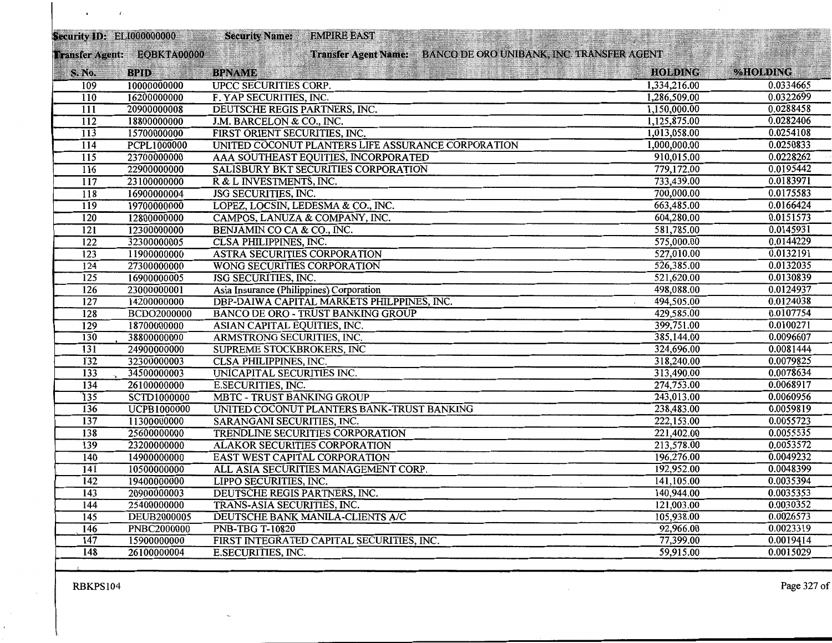|                  | Security ID: ELI000000000   | <b>Security Name:</b>                    | <b>EMPIRE EAST</b>                                 |                                                                |                |               |
|------------------|-----------------------------|------------------------------------------|----------------------------------------------------|----------------------------------------------------------------|----------------|---------------|
|                  | Transfer Agent: EQBKTA00000 |                                          |                                                    | Transfer Agent Name: BANCO DE ORO UNIBANK, INC. TRANSFER AGENT |                | <b>MATIKI</b> |
| <b>S. No.</b>    | <b>BPID</b>                 | <b>BPNAME</b>                            |                                                    |                                                                | <b>HOLDING</b> | %HOLDING      |
| 109              | 10000000000                 | <b>UPCC SECURITIES CORP.</b>             |                                                    |                                                                | 1,334,216.00   | 0.0334665     |
| 110              | 16200000000                 | F. YAP SECURITIES, INC.                  |                                                    |                                                                | 1,286,509.00   | 0.0322699     |
| $\overline{111}$ | 20900000008                 | DEUTSCHE REGIS PARTNERS, INC.            |                                                    |                                                                | 1,150,000.00   | 0.0288458     |
| 112              | 18800000000                 | J.M. BARCELON & CO., INC.                |                                                    |                                                                | 1,125,875.00   | 0.0282406     |
| $\overline{113}$ | 15700000000                 | FIRST ORIENT SECURITIES, INC.            |                                                    |                                                                | 1,013,058.00   | 0.0254108     |
| $\overline{114}$ | PCPL1000000                 |                                          | UNITED COCONUT PLANTERS LIFE ASSURANCE CORPORATION |                                                                | 1,000,000.00   | 0.0250833     |
| $\overline{115}$ | 23700000000                 |                                          | AAA SOUTHEAST EQUITIES, INCORPORATED               |                                                                | 910,015.00     | 0.0228262     |
| $\overline{116}$ | 22900000000                 |                                          | SALISBURY BKT SECURITIES CORPORATION               |                                                                | 779,172.00     | 0.0195442     |
| $\overline{117}$ | 23100000000                 | R & L INVESTMENTS, INC.                  |                                                    |                                                                | 733,439.00     | 0.0183971     |
| $\overline{118}$ | 16900000004                 | <b>JSG SECURITIES, INC.</b>              |                                                    |                                                                | 700,000.00     | 0.0175583     |
| 119              | 19700000000                 | LOPEZ, LOCSIN, LEDESMA & CO., INC.       |                                                    |                                                                | 663,485.00     | 0.0166424     |
| 120              | 12800000000                 | CAMPOS, LANUZA & COMPANY, INC.           |                                                    |                                                                | 604,280.00     | 0.0151573     |
| $\overline{121}$ | 12300000000                 | BENJAMIN CO CA & CO., INC.               |                                                    |                                                                | 581,785.00     | 0.0145931     |
| 122              | 32300000005                 | <b>CLSA PHILIPPINES, INC.</b>            |                                                    |                                                                | 575,000.00     | 0.0144229     |
| $\overline{123}$ | 11900000000                 | ASTRA SECURITIES CORPORATION             |                                                    |                                                                | 527,010.00     | 0.0132191     |
| 124              | 27300000000                 | WONG SECURITIES CORPORATION              |                                                    |                                                                | 526,385.00     | 0.0132035     |
| $\overline{125}$ | 16900000005                 | <b>JSG SECURITIES, INC.</b>              |                                                    |                                                                | 521,620.00     | 0.0130839     |
| $\overline{126}$ | 23000000001                 | Asia Insurance (Philippines) Corporation |                                                    |                                                                | 498,088.00     | 0.0124937     |
| 127              | 14200000000                 |                                          | DBP-DAIWA CAPITAL MARKETS PHILPPINES, INC.         |                                                                | 494,505.00     | 0.0124038     |
| $\overline{128}$ | <b>BCDO2000000</b>          |                                          | <b>BANCO DE ORO - TRUST BANKING GROUP</b>          |                                                                | 429,585.00     | 0.0107754     |
| $\overline{129}$ | 18700000000                 | ASIAN CAPITAL EQUITIES, INC.             |                                                    |                                                                | 399,751.00     | 0.0100271     |
| 130              | 38800000000                 | ARMSTRONG SECURITIES, INC.               |                                                    |                                                                | 385,144.00     | 0.0096607     |
| 131              | 24900000000                 | <b>SUPREME STOCKBROKERS, INC</b>         |                                                    |                                                                | 324,696.00     | 0.0081444     |
| 132              | 32300000003                 | <b>CLSA PHILIPPINES, INC.</b>            |                                                    |                                                                | 318,240.00     | 0.0079825     |
| $\overline{133}$ | 34500000003                 | <b>UNICAPITAL SECURITIES INC.</b>        |                                                    |                                                                | 313,490.00     | 0.0078634     |
| 134              | 26100000000                 | <b>E.SECURITIES, INC.</b>                |                                                    |                                                                | 274,753.00     | 0.0068917     |
| $\overline{135}$ | <b>SCTD1000000</b>          | <b>MBTC - TRUST BANKING GROUP</b>        |                                                    |                                                                | 243,013.00     | 0.0060956     |
| 136              | <b>UCPB1000000</b>          |                                          | UNITED COCONUT PLANTERS BANK-TRUST BANKING         |                                                                | 238,483.00     | 0.0059819     |
| $\overline{137}$ | 11300000000                 | SARANGANI SECURITIES, INC.               |                                                    |                                                                | 222,153.00     | 0.0055723     |
| 138              | 25600000000                 |                                          | TRENDLINE SECURITIES CORPORATION                   |                                                                | 221,402.00     | 0.0055535     |
| 139              | 23200000000                 | <b>ALAKOR SECURITIES CORPORATION</b>     |                                                    |                                                                | 213,578.00     | 0.0053572     |
| 140              | 14900000000                 | EAST WEST CAPITAL CORPORATION            |                                                    |                                                                | 196,276.00     | 0.0049232     |
| $\overline{141}$ | 10500000000                 |                                          | ALL ASIA SECURITIES MANAGEMENT CORP.               |                                                                | 192,952.00     | 0.0048399     |
| $\overline{142}$ | 19400000000                 | LIPPO SECURITIES, INC.                   |                                                    |                                                                | 141,105.00     | 0.0035394     |
| 143              | 20900000003                 | DEUTSCHE REGIS PARTNERS, INC.            |                                                    |                                                                | 140,944.00     | 0.0035353     |
| 144              | 25400000000                 | TRANS-ASIA SECURITIES, INC.              |                                                    |                                                                | 121,003.00     | 0.0030352     |
| $\overline{145}$ | <b>DEUB2000005</b>          |                                          | DEUTSCHE BANK MANILA-CLIENTS A/C                   |                                                                | 105,938.00     | 0.0026573     |
| 146              | <b>PNBC2000000</b>          | <b>PNB-TBG T-10820</b>                   |                                                    |                                                                | 92,966.00      | 0.0023319     |
| $\overline{147}$ | 15900000000                 |                                          | FIRST INTEGRATED CAPITAL SECURITIES, INC.          |                                                                | 77,399.00      | 0.0019414     |
| 148              | 26100000004                 | E.SECURITIES, INC.                       |                                                    |                                                                | 59,915.00      | 0.0015029     |
|                  |                             |                                          |                                                    |                                                                |                |               |

 $\epsilon$ 

 $\epsilon$ 

 $\sim 10^{11}$  GeV

 $\mathcal{A}$  .

 $\sim$